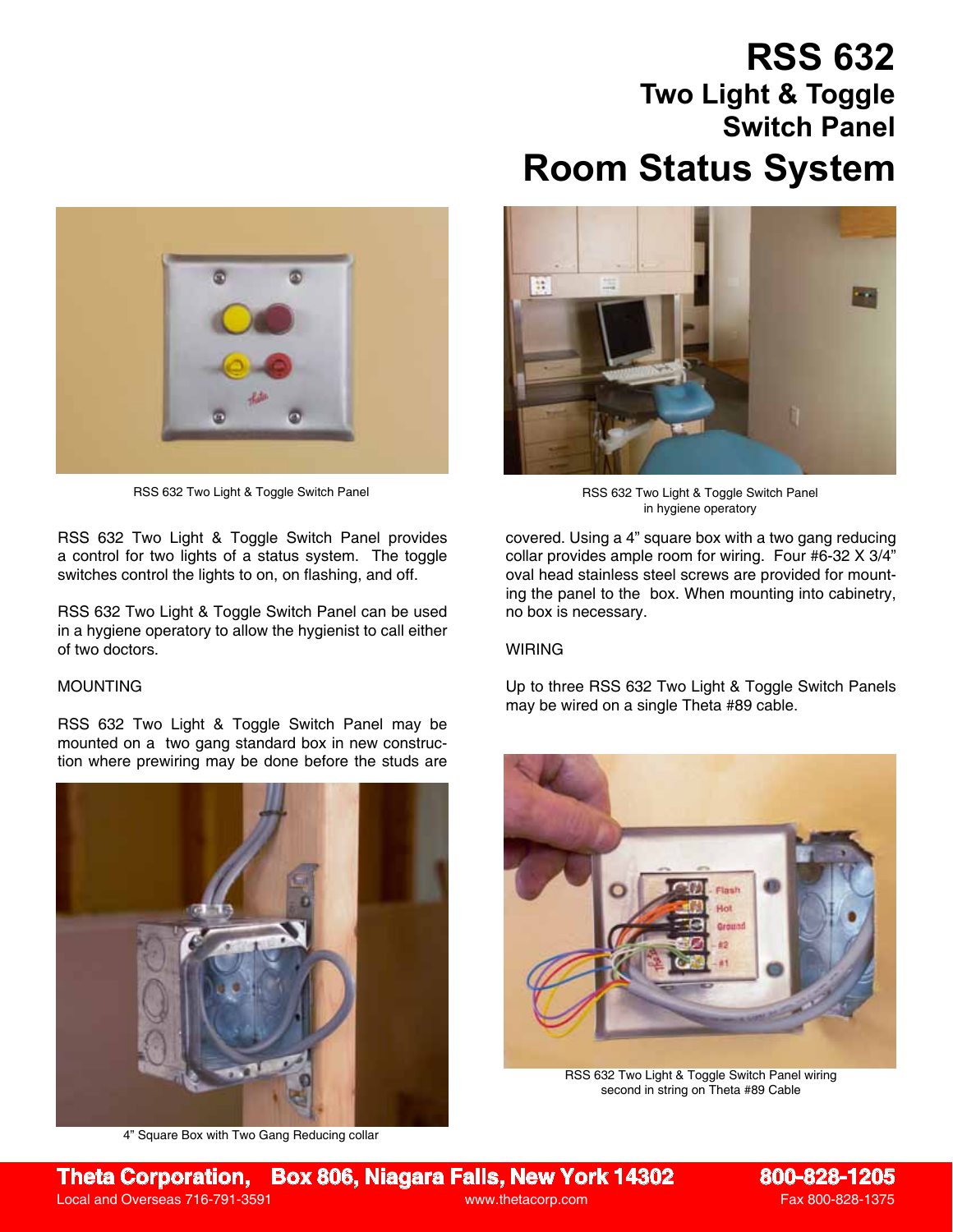# **RSS 632 Two Light & Toggle Switch Panel Room Status System**



RSS 632 Two Light & Toggle Switch Panel

RSS 632 Two Light & Toggle Switch Panel provides a control for two lights of a status system. The toggle switches control the lights to on, on flashing, and off.

RSS 632 Two Light & Toggle Switch Panel can be used in a hygiene operatory to allow the hygienist to call either of two doctors.

## MOUNTING

RSS 632 Two Light & Toggle Switch Panel may be mounted on a two gang standard box in new construction where prewiring may be done before the studs are



4" Square Box with Two Gang Reducing collar



RSS 632 Two Light & Toggle Switch Panel in hygiene operatory

covered. Using a 4" square box with a two gang reducing collar provides ample room for wiring. Four #6-32 X 3/4" oval head stainless steel screws are provided for mounting the panel to the box. When mounting into cabinetry, no box is necessary.

#### WIRING

Up to three RSS 632 Two Light & Toggle Switch Panels may be wired on a single Theta #89 cable.



RSS 632 Two Light & Toggle Switch Panel wiring second in string on Theta #89 Cable

**Theta Corporation, Box 806, Niagara Falls, New York 14302 800-828-1205**

Local and Overseas 716-791-3591 www.thetacorp.com Fax 800-828-1375